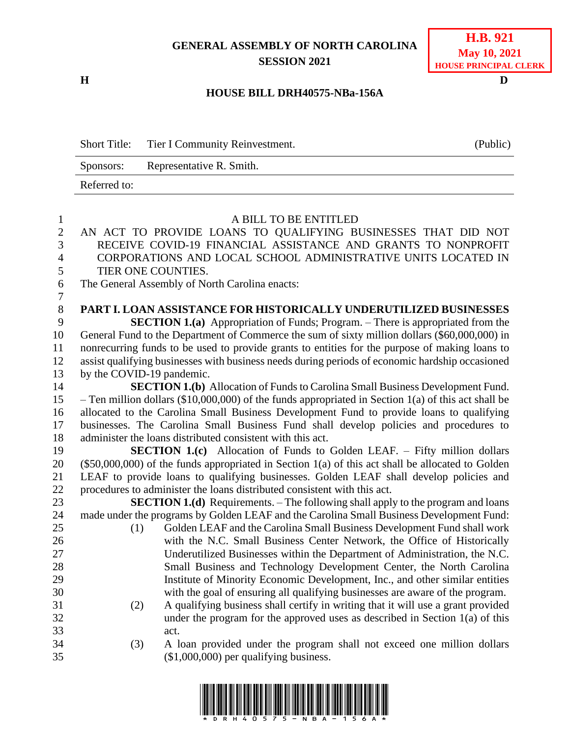## **GENERAL ASSEMBLY OF NORTH CAROLINA SESSION 2021**

**H D**

## **H.B. 921 May 10, 2021 HOUSE PRINCIPAL CLERK**

## **HOUSE BILL DRH40575-NBa-156A**

| <b>Short Title:</b> | Tier I Community Reinvestment. | (Public) |
|---------------------|--------------------------------|----------|
| Sponsors:           | Representative R. Smith.       |          |
| Referred to:        |                                |          |

| $\mathbf{1}$   |                           | A BILL TO BE ENTITLED                                                                               |  |  |  |  |  |
|----------------|---------------------------|-----------------------------------------------------------------------------------------------------|--|--|--|--|--|
| $\overline{2}$ |                           | AN ACT TO PROVIDE LOANS TO QUALIFYING BUSINESSES THAT DID NOT                                       |  |  |  |  |  |
| $\overline{3}$ |                           | RECEIVE COVID-19 FINANCIAL ASSISTANCE AND GRANTS TO NONPROFIT                                       |  |  |  |  |  |
| 4              |                           | CORPORATIONS AND LOCAL SCHOOL ADMINISTRATIVE UNITS LOCATED IN                                       |  |  |  |  |  |
| 5              | TIER ONE COUNTIES.        |                                                                                                     |  |  |  |  |  |
| 6              |                           | The General Assembly of North Carolina enacts:                                                      |  |  |  |  |  |
| $\overline{7}$ |                           |                                                                                                     |  |  |  |  |  |
| $\,8\,$        |                           | <b>PART I. LOAN ASSISTANCE FOR HISTORICALLY UNDERUTILIZED BUSINESSES</b>                            |  |  |  |  |  |
| 9              |                           | <b>SECTION 1.(a)</b> Appropriation of Funds; Program. – There is appropriated from the              |  |  |  |  |  |
| 10             |                           | General Fund to the Department of Commerce the sum of sixty million dollars (\$60,000,000) in       |  |  |  |  |  |
| 11             |                           | nonrecurring funds to be used to provide grants to entities for the purpose of making loans to      |  |  |  |  |  |
| 12             |                           | assist qualifying businesses with business needs during periods of economic hardship occasioned     |  |  |  |  |  |
| 13             | by the COVID-19 pandemic. |                                                                                                     |  |  |  |  |  |
| 14             |                           | <b>SECTION 1.(b)</b> Allocation of Funds to Carolina Small Business Development Fund.               |  |  |  |  |  |
| 15             |                           | - Ten million dollars (\$10,000,000) of the funds appropriated in Section 1(a) of this act shall be |  |  |  |  |  |
| 16             |                           | allocated to the Carolina Small Business Development Fund to provide loans to qualifying            |  |  |  |  |  |
| 17             |                           | businesses. The Carolina Small Business Fund shall develop policies and procedures to               |  |  |  |  |  |
| 18             |                           | administer the loans distributed consistent with this act.                                          |  |  |  |  |  |
| 19             |                           | <b>SECTION 1.(c)</b> Allocation of Funds to Golden LEAF. – Fifty million dollars                    |  |  |  |  |  |
| 20             |                           | $(\$50,000,000)$ of the funds appropriated in Section 1(a) of this act shall be allocated to Golden |  |  |  |  |  |
| 21             |                           | LEAF to provide loans to qualifying businesses. Golden LEAF shall develop policies and              |  |  |  |  |  |
| 22             |                           | procedures to administer the loans distributed consistent with this act.                            |  |  |  |  |  |
| 23             |                           | <b>SECTION 1.(d)</b> Requirements. – The following shall apply to the program and loans             |  |  |  |  |  |
| 24             |                           | made under the programs by Golden LEAF and the Carolina Small Business Development Fund:            |  |  |  |  |  |
| 25             | (1)                       | Golden LEAF and the Carolina Small Business Development Fund shall work                             |  |  |  |  |  |
| 26             |                           | with the N.C. Small Business Center Network, the Office of Historically                             |  |  |  |  |  |
| 27             |                           | Underutilized Businesses within the Department of Administration, the N.C.                          |  |  |  |  |  |
| 28             |                           | Small Business and Technology Development Center, the North Carolina                                |  |  |  |  |  |
| 29             |                           | Institute of Minority Economic Development, Inc., and other similar entities                        |  |  |  |  |  |
| 30             |                           | with the goal of ensuring all qualifying businesses are aware of the program.                       |  |  |  |  |  |
| 31             | (2)                       | A qualifying business shall certify in writing that it will use a grant provided                    |  |  |  |  |  |
| 32             |                           | under the program for the approved uses as described in Section $1(a)$ of this                      |  |  |  |  |  |
| 33             |                           | act.                                                                                                |  |  |  |  |  |
| 34             | (3)                       | A loan provided under the program shall not exceed one million dollars                              |  |  |  |  |  |
| 35             |                           | $($1,000,000)$ per qualifying business.                                                             |  |  |  |  |  |

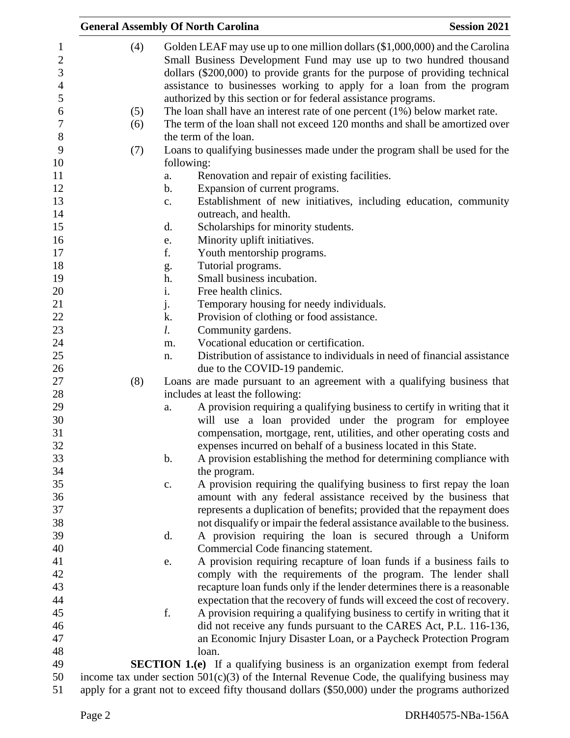|                                | <b>General Assembly Of North Carolina</b><br><b>Session 2021</b> |                                                                                                 |                                                                                                                                                    |  |  |
|--------------------------------|------------------------------------------------------------------|-------------------------------------------------------------------------------------------------|----------------------------------------------------------------------------------------------------------------------------------------------------|--|--|
| $\mathbf{1}$<br>$\overline{2}$ | (4)                                                              |                                                                                                 | Golden LEAF may use up to one million dollars (\$1,000,000) and the Carolina<br>Small Business Development Fund may use up to two hundred thousand |  |  |
| 3                              |                                                                  |                                                                                                 | dollars (\$200,000) to provide grants for the purpose of providing technical                                                                       |  |  |
| $\overline{4}$                 |                                                                  |                                                                                                 | assistance to businesses working to apply for a loan from the program                                                                              |  |  |
| 5                              |                                                                  |                                                                                                 | authorized by this section or for federal assistance programs.                                                                                     |  |  |
| 6                              | (5)                                                              |                                                                                                 | The loan shall have an interest rate of one percent $(1%)$ below market rate.                                                                      |  |  |
| $\overline{7}$                 | (6)                                                              |                                                                                                 | The term of the loan shall not exceed 120 months and shall be amortized over                                                                       |  |  |
| $8\,$                          |                                                                  |                                                                                                 | the term of the loan.                                                                                                                              |  |  |
| 9                              | (7)                                                              |                                                                                                 | Loans to qualifying businesses made under the program shall be used for the                                                                        |  |  |
| 10                             |                                                                  | following:                                                                                      |                                                                                                                                                    |  |  |
| 11                             |                                                                  | a.                                                                                              | Renovation and repair of existing facilities.                                                                                                      |  |  |
| 12                             |                                                                  | b.                                                                                              | Expansion of current programs.                                                                                                                     |  |  |
| 13                             |                                                                  | $\mathbf{c}$ .                                                                                  | Establishment of new initiatives, including education, community                                                                                   |  |  |
| 14                             |                                                                  |                                                                                                 | outreach, and health.                                                                                                                              |  |  |
| 15                             |                                                                  | d.                                                                                              | Scholarships for minority students.                                                                                                                |  |  |
| 16                             |                                                                  | e.                                                                                              | Minority uplift initiatives.                                                                                                                       |  |  |
| 17                             |                                                                  | f.                                                                                              | Youth mentorship programs.                                                                                                                         |  |  |
| 18                             |                                                                  | g.                                                                                              | Tutorial programs.                                                                                                                                 |  |  |
| 19                             |                                                                  | h.                                                                                              | Small business incubation.                                                                                                                         |  |  |
| 20                             |                                                                  | i.                                                                                              | Free health clinics.                                                                                                                               |  |  |
| 21                             |                                                                  | j.                                                                                              | Temporary housing for needy individuals.                                                                                                           |  |  |
| 22                             |                                                                  | k.                                                                                              | Provision of clothing or food assistance.                                                                                                          |  |  |
| 23                             |                                                                  | l.                                                                                              | Community gardens.                                                                                                                                 |  |  |
| 24                             |                                                                  | m.                                                                                              | Vocational education or certification.                                                                                                             |  |  |
| 25                             |                                                                  | n.                                                                                              | Distribution of assistance to individuals in need of financial assistance                                                                          |  |  |
| 26                             |                                                                  |                                                                                                 | due to the COVID-19 pandemic.                                                                                                                      |  |  |
| 27                             | (8)                                                              |                                                                                                 | Loans are made pursuant to an agreement with a qualifying business that                                                                            |  |  |
| 28                             |                                                                  |                                                                                                 | includes at least the following:                                                                                                                   |  |  |
| 29                             |                                                                  | a.                                                                                              | A provision requiring a qualifying business to certify in writing that it                                                                          |  |  |
| 30                             |                                                                  |                                                                                                 | will use a loan provided under the program for employee                                                                                            |  |  |
| 31                             |                                                                  |                                                                                                 | compensation, mortgage, rent, utilities, and other operating costs and                                                                             |  |  |
| 32                             |                                                                  |                                                                                                 | expenses incurred on behalf of a business located in this State.                                                                                   |  |  |
| 33                             |                                                                  | b.                                                                                              | A provision establishing the method for determining compliance with                                                                                |  |  |
| 34                             |                                                                  |                                                                                                 | the program.                                                                                                                                       |  |  |
| 35                             |                                                                  | c.                                                                                              | A provision requiring the qualifying business to first repay the loan                                                                              |  |  |
| 36                             |                                                                  |                                                                                                 | amount with any federal assistance received by the business that                                                                                   |  |  |
| 37                             |                                                                  |                                                                                                 | represents a duplication of benefits; provided that the repayment does                                                                             |  |  |
| 38                             |                                                                  |                                                                                                 | not disqualify or impair the federal assistance available to the business.                                                                         |  |  |
| 39                             |                                                                  | d.                                                                                              | A provision requiring the loan is secured through a Uniform                                                                                        |  |  |
| 40                             |                                                                  |                                                                                                 | Commercial Code financing statement.                                                                                                               |  |  |
| 41                             |                                                                  | e.                                                                                              | A provision requiring recapture of loan funds if a business fails to                                                                               |  |  |
| 42                             |                                                                  |                                                                                                 | comply with the requirements of the program. The lender shall                                                                                      |  |  |
| 43                             |                                                                  |                                                                                                 | recapture loan funds only if the lender determines there is a reasonable                                                                           |  |  |
| 44                             |                                                                  |                                                                                                 | expectation that the recovery of funds will exceed the cost of recovery.                                                                           |  |  |
| 45                             |                                                                  | f.                                                                                              | A provision requiring a qualifying business to certify in writing that it                                                                          |  |  |
| 46                             |                                                                  |                                                                                                 | did not receive any funds pursuant to the CARES Act, P.L. 116-136,                                                                                 |  |  |
| 47                             |                                                                  |                                                                                                 | an Economic Injury Disaster Loan, or a Paycheck Protection Program                                                                                 |  |  |
| 48                             |                                                                  |                                                                                                 | loan.                                                                                                                                              |  |  |
| 49                             |                                                                  |                                                                                                 | <b>SECTION 1.(e)</b> If a qualifying business is an organization exempt from federal                                                               |  |  |
| 50                             |                                                                  | income tax under section $501(c)(3)$ of the Internal Revenue Code, the qualifying business may  |                                                                                                                                                    |  |  |
| 51                             |                                                                  | apply for a grant not to exceed fifty thousand dollars (\$50,000) under the programs authorized |                                                                                                                                                    |  |  |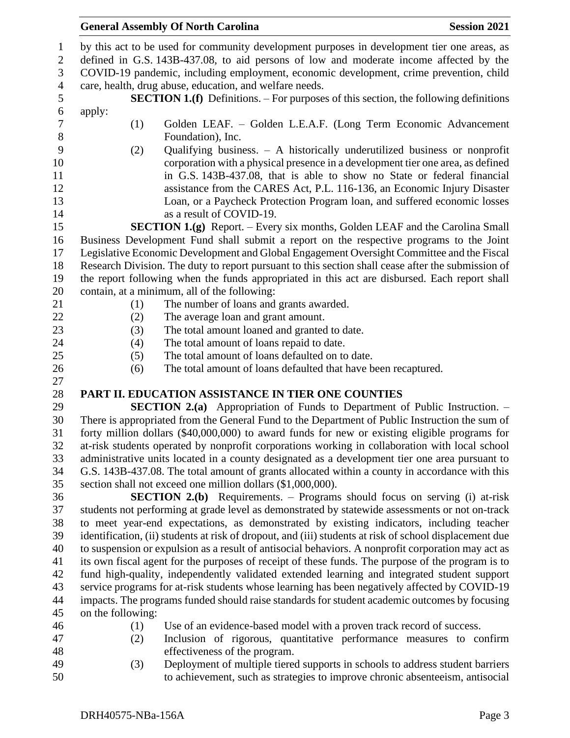## **General Assembly Of North Carolina Session 2021**

 by this act to be used for community development purposes in development tier one areas, as defined in G.S. 143B-437.08, to aid persons of low and moderate income affected by the COVID-19 pandemic, including employment, economic development, crime prevention, child care, health, drug abuse, education, and welfare needs. **SECTION 1.(f)** Definitions. – For purposes of this section, the following definitions apply: (1) Golden LEAF. – Golden L.E.A.F. (Long Term Economic Advancement Foundation), Inc. (2) Qualifying business. – A historically underutilized business or nonprofit corporation with a physical presence in a development tier one area, as defined in G.S. 143B-437.08, that is able to show no State or federal financial assistance from the CARES Act, P.L. 116-136, an Economic Injury Disaster Loan, or a Paycheck Protection Program loan, and suffered economic losses 14 as a result of COVID-19. **SECTION 1.(g)** Report. – Every six months, Golden LEAF and the Carolina Small Business Development Fund shall submit a report on the respective programs to the Joint Legislative Economic Development and Global Engagement Oversight Committee and the Fiscal Research Division. The duty to report pursuant to this section shall cease after the submission of the report following when the funds appropriated in this act are disbursed. Each report shall contain, at a minimum, all of the following: (1) The number of loans and grants awarded. 22 (2) The average loan and grant amount. (3) The total amount loaned and granted to date. (4) The total amount of loans repaid to date. (5) The total amount of loans defaulted on to date. (6) The total amount of loans defaulted that have been recaptured. **PART II. EDUCATION ASSISTANCE IN TIER ONE COUNTIES SECTION 2.(a)** Appropriation of Funds to Department of Public Instruction. – There is appropriated from the General Fund to the Department of Public Instruction the sum of forty million dollars (\$40,000,000) to award funds for new or existing eligible programs for at-risk students operated by nonprofit corporations working in collaboration with local school administrative units located in a county designated as a development tier one area pursuant to G.S. 143B-437.08. The total amount of grants allocated within a county in accordance with this section shall not exceed one million dollars (\$1,000,000). **SECTION 2.(b)** Requirements. – Programs should focus on serving (i) at-risk students not performing at grade level as demonstrated by statewide assessments or not on-track to meet year-end expectations, as demonstrated by existing indicators, including teacher identification, (ii) students at risk of dropout, and (iii) students at risk of school displacement due to suspension or expulsion as a result of antisocial behaviors. A nonprofit corporation may act as its own fiscal agent for the purposes of receipt of these funds. The purpose of the program is to fund high-quality, independently validated extended learning and integrated student support service programs for at-risk students whose learning has been negatively affected by COVID-19 impacts. The programs funded should raise standards for student academic outcomes by focusing on the following: (1) Use of an evidence-based model with a proven track record of success. (2) Inclusion of rigorous, quantitative performance measures to confirm effectiveness of the program. (3) Deployment of multiple tiered supports in schools to address student barriers

to achievement, such as strategies to improve chronic absenteeism, antisocial